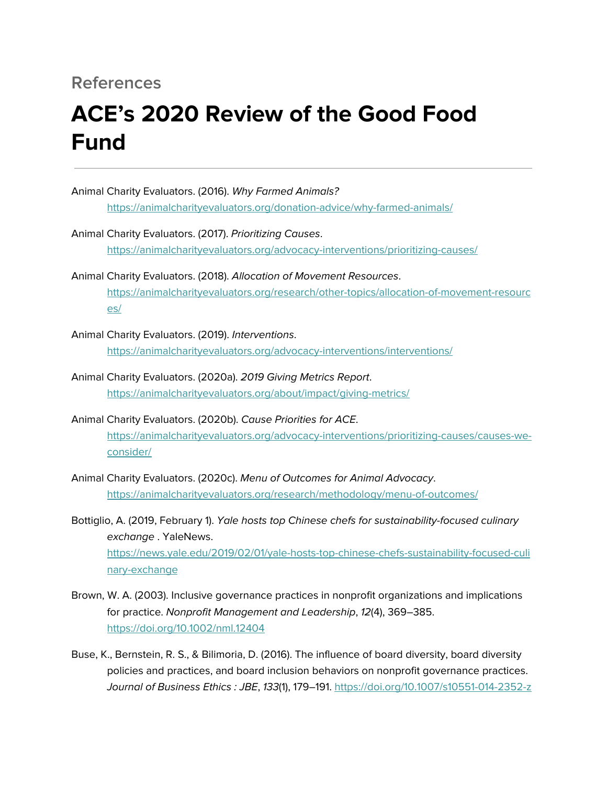## **References**

## **ACE's 2020 Review of the Good Food Fund**

| Animal Charity Evaluators. (2016). Why Farmed Animals?                                             |
|----------------------------------------------------------------------------------------------------|
| https://animalcharityevaluators.org/donation-advice/why-farmed-animals/                            |
| Animal Charity Evaluators. (2017). Prioritizing Causes.                                            |
|                                                                                                    |
| https://animalcharityevaluators.org/advocacy-interventions/prioritizing-causes/                    |
| Animal Charity Evaluators. (2018). Allocation of Movement Resources.                               |
| https://animalcharityevaluators.org/research/other-topics/allocation-of-movement-resourc           |
| es/                                                                                                |
| Animal Charity Evaluators. (2019). Interventions.                                                  |
| https://animalcharityevaluators.org/advocacy-interventions/interventions/                          |
|                                                                                                    |
| Animal Charity Evaluators. (2020a). 2019 Giving Metrics Report.                                    |
| https://animalcharityevaluators.org/about/impact/giving-metrics/                                   |
| Animal Charity Evaluators. (2020b). Cause Priorities for ACE.                                      |
| https://animalcharityevaluators.org/advocacy-interventions/prioritizing-causes/causes-we-          |
| consider/                                                                                          |
|                                                                                                    |
| Animal Charity Evaluators. (2020c). Menu of Outcomes for Animal Advocacy.                          |
| https://animalcharityevaluators.org/research/methodology/menu-of-outcomes/                         |
| Bottiglio, A. (2019, February 1). Yale hosts top Chinese chefs for sustainability-focused culinary |
| exchange. YaleNews.                                                                                |
| https://news.yale.edu/2019/02/01/yale-hosts-top-chinese-chefs-sustainability-focused-culi          |
|                                                                                                    |
| nary-exchange                                                                                      |
| Brown, W. A. (2003). Inclusive governance practices in nonprofit organizations and implications    |
|                                                                                                    |
| for practice. Nonprofit Management and Leadership, 12(4), 369-385.                                 |

Buse, K., Bernstein, R. S., & Bilimoria, D. (2016). The influence of board diversity, board diversity policies and practices, and board inclusion behaviors on nonprofit governance practices. Journal of Business Ethics : JBE, 133(1), 179–191. <https://doi.org/10.1007/s10551-014-2352-z>